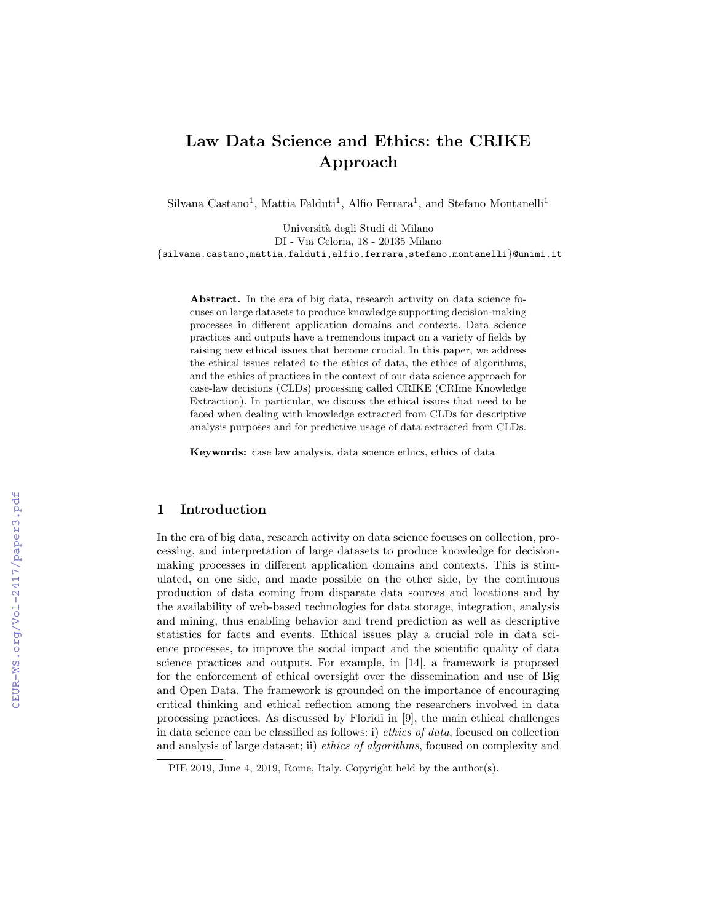# Law Data Science and Ethics: the CRIKE Approach

Silvana Castano<sup>1</sup>, Mattia Falduti<sup>1</sup>, Alfio Ferrara<sup>1</sup>, and Stefano Montanelli<sup>1</sup>

Universit`a degli Studi di Milano DI - Via Celoria, 18 - 20135 Milano {silvana.castano,mattia.falduti,alfio.ferrara,stefano.montanelli}@unimi.it

Abstract. In the era of big data, research activity on data science focuses on large datasets to produce knowledge supporting decision-making processes in different application domains and contexts. Data science practices and outputs have a tremendous impact on a variety of fields by raising new ethical issues that become crucial. In this paper, we address the ethical issues related to the ethics of data, the ethics of algorithms, and the ethics of practices in the context of our data science approach for case-law decisions (CLDs) processing called CRIKE (CRIme Knowledge Extraction). In particular, we discuss the ethical issues that need to be faced when dealing with knowledge extracted from CLDs for descriptive analysis purposes and for predictive usage of data extracted from CLDs.

Keywords: case law analysis, data science ethics, ethics of data

## 1 Introduction

In the era of big data, research activity on data science focuses on collection, processing, and interpretation of large datasets to produce knowledge for decisionmaking processes in different application domains and contexts. This is stimulated, on one side, and made possible on the other side, by the continuous production of data coming from disparate data sources and locations and by the availability of web-based technologies for data storage, integration, analysis and mining, thus enabling behavior and trend prediction as well as descriptive statistics for facts and events. Ethical issues play a crucial role in data science processes, to improve the social impact and the scientific quality of data science practices and outputs. For example, in [14], a framework is proposed for the enforcement of ethical oversight over the dissemination and use of Big and Open Data. The framework is grounded on the importance of encouraging critical thinking and ethical reflection among the researchers involved in data processing practices. As discussed by Floridi in [9], the main ethical challenges in data science can be classified as follows: i) ethics of data, focused on collection and analysis of large dataset; ii) ethics of algorithms, focused on complexity and

PIE 2019, June 4, 2019, Rome, Italy. Copyright held by the author(s).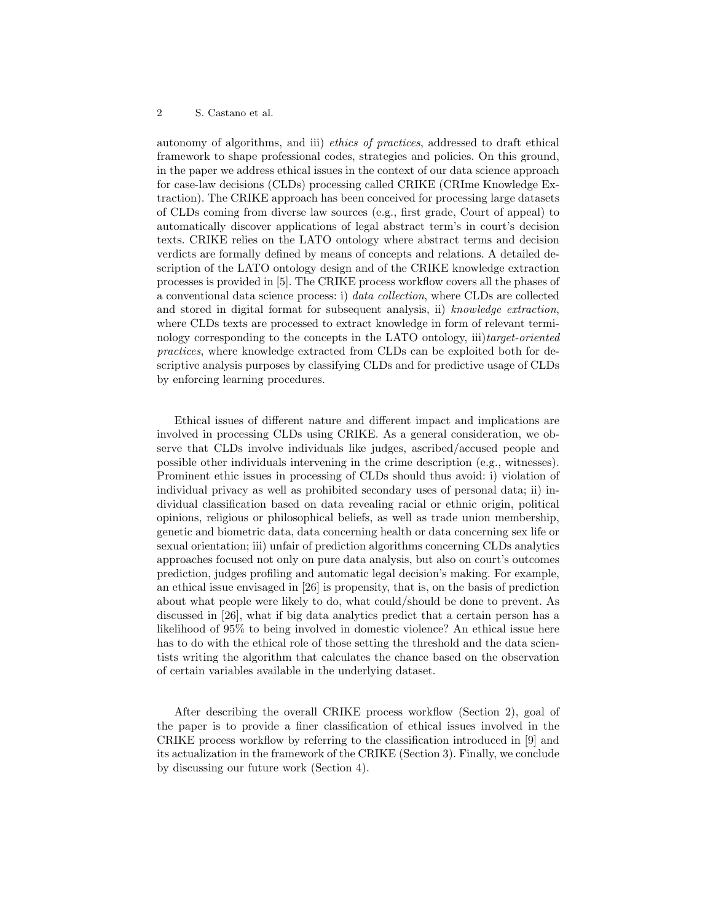autonomy of algorithms, and iii) ethics of practices, addressed to draft ethical framework to shape professional codes, strategies and policies. On this ground, in the paper we address ethical issues in the context of our data science approach for case-law decisions (CLDs) processing called CRIKE (CRIme Knowledge Extraction). The CRIKE approach has been conceived for processing large datasets of CLDs coming from diverse law sources (e.g., first grade, Court of appeal) to automatically discover applications of legal abstract term's in court's decision texts. CRIKE relies on the LATO ontology where abstract terms and decision verdicts are formally defined by means of concepts and relations. A detailed description of the LATO ontology design and of the CRIKE knowledge extraction processes is provided in [5]. The CRIKE process workflow covers all the phases of a conventional data science process: i) data collection, where CLDs are collected and stored in digital format for subsequent analysis, ii) knowledge extraction, where CLDs texts are processed to extract knowledge in form of relevant terminology corresponding to the concepts in the LATO ontology, iii)target-oriented practices, where knowledge extracted from CLDs can be exploited both for descriptive analysis purposes by classifying CLDs and for predictive usage of CLDs by enforcing learning procedures.

Ethical issues of different nature and different impact and implications are involved in processing CLDs using CRIKE. As a general consideration, we observe that CLDs involve individuals like judges, ascribed/accused people and possible other individuals intervening in the crime description (e.g., witnesses). Prominent ethic issues in processing of CLDs should thus avoid: i) violation of individual privacy as well as prohibited secondary uses of personal data; ii) individual classification based on data revealing racial or ethnic origin, political opinions, religious or philosophical beliefs, as well as trade union membership, genetic and biometric data, data concerning health or data concerning sex life or sexual orientation; iii) unfair of prediction algorithms concerning CLDs analytics approaches focused not only on pure data analysis, but also on court's outcomes prediction, judges profiling and automatic legal decision's making. For example, an ethical issue envisaged in [26] is propensity, that is, on the basis of prediction about what people were likely to do, what could/should be done to prevent. As discussed in [26], what if big data analytics predict that a certain person has a likelihood of 95% to being involved in domestic violence? An ethical issue here has to do with the ethical role of those setting the threshold and the data scientists writing the algorithm that calculates the chance based on the observation of certain variables available in the underlying dataset.

After describing the overall CRIKE process workflow (Section 2), goal of the paper is to provide a finer classification of ethical issues involved in the CRIKE process workflow by referring to the classification introduced in [9] and its actualization in the framework of the CRIKE (Section 3). Finally, we conclude by discussing our future work (Section 4).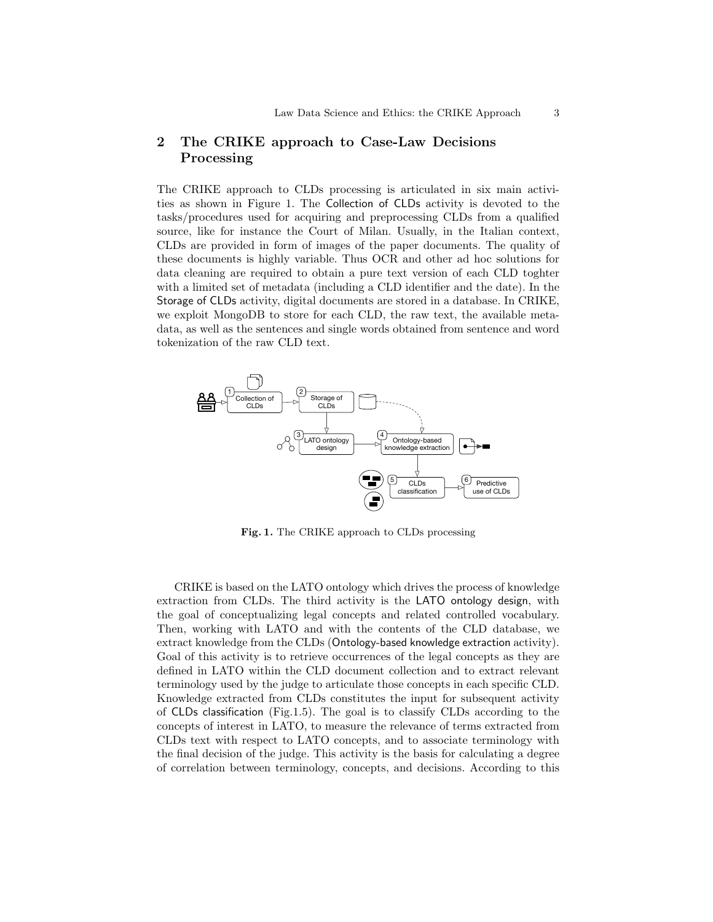## 2 The CRIKE approach to Case-Law Decisions Processing

The CRIKE approach to CLDs processing is articulated in six main activities as shown in Figure 1. The Collection of CLDs activity is devoted to the tasks/procedures used for acquiring and preprocessing CLDs from a qualified source, like for instance the Court of Milan. Usually, in the Italian context, CLDs are provided in form of images of the paper documents. The quality of these documents is highly variable. Thus OCR and other ad hoc solutions for data cleaning are required to obtain a pure text version of each CLD toghter with a limited set of metadata (including a CLD identifier and the date). In the Storage of CLDs activity, digital documents are stored in a database. In CRIKE, we exploit MongoDB to store for each CLD, the raw text, the available metadata, as well as the sentences and single words obtained from sentence and word tokenization of the raw CLD text.



Fig. 1. The CRIKE approach to CLDs processing

CRIKE is based on the LATO ontology which drives the process of knowledge extraction from CLDs. The third activity is the LATO ontology design, with the goal of conceptualizing legal concepts and related controlled vocabulary. Then, working with LATO and with the contents of the CLD database, we extract knowledge from the CLDs (Ontology-based knowledge extraction activity). Goal of this activity is to retrieve occurrences of the legal concepts as they are defined in LATO within the CLD document collection and to extract relevant terminology used by the judge to articulate those concepts in each specific CLD. Knowledge extracted from CLDs constitutes the input for subsequent activity of CLDs classification (Fig.1.5). The goal is to classify CLDs according to the concepts of interest in LATO, to measure the relevance of terms extracted from CLDs text with respect to LATO concepts, and to associate terminology with the final decision of the judge. This activity is the basis for calculating a degree of correlation between terminology, concepts, and decisions. According to this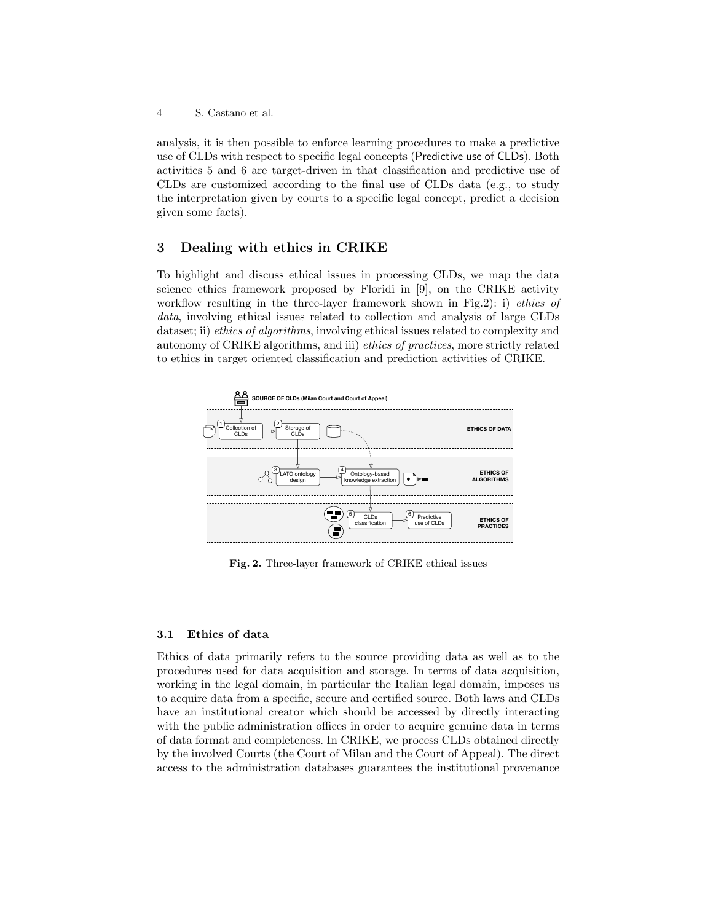analysis, it is then possible to enforce learning procedures to make a predictive use of CLDs with respect to specific legal concepts (Predictive use of CLDs). Both activities 5 and 6 are target-driven in that classification and predictive use of CLDs are customized according to the final use of CLDs data (e.g., to study the interpretation given by courts to a specific legal concept, predict a decision given some facts).

## 3 Dealing with ethics in CRIKE

To highlight and discuss ethical issues in processing CLDs, we map the data science ethics framework proposed by Floridi in [9], on the CRIKE activity workflow resulting in the three-layer framework shown in Fig.2): i) *ethics of* data, involving ethical issues related to collection and analysis of large CLDs dataset; ii) *ethics of algorithms*, involving ethical issues related to complexity and autonomy of CRIKE algorithms, and iii) ethics of practices, more strictly related to ethics in target oriented classification and prediction activities of CRIKE.



Fig. 2. Three-layer framework of CRIKE ethical issues

#### 3.1 Ethics of data

Ethics of data primarily refers to the source providing data as well as to the procedures used for data acquisition and storage. In terms of data acquisition, working in the legal domain, in particular the Italian legal domain, imposes us to acquire data from a specific, secure and certified source. Both laws and CLDs have an institutional creator which should be accessed by directly interacting with the public administration offices in order to acquire genuine data in terms of data format and completeness. In CRIKE, we process CLDs obtained directly by the involved Courts (the Court of Milan and the Court of Appeal). The direct access to the administration databases guarantees the institutional provenance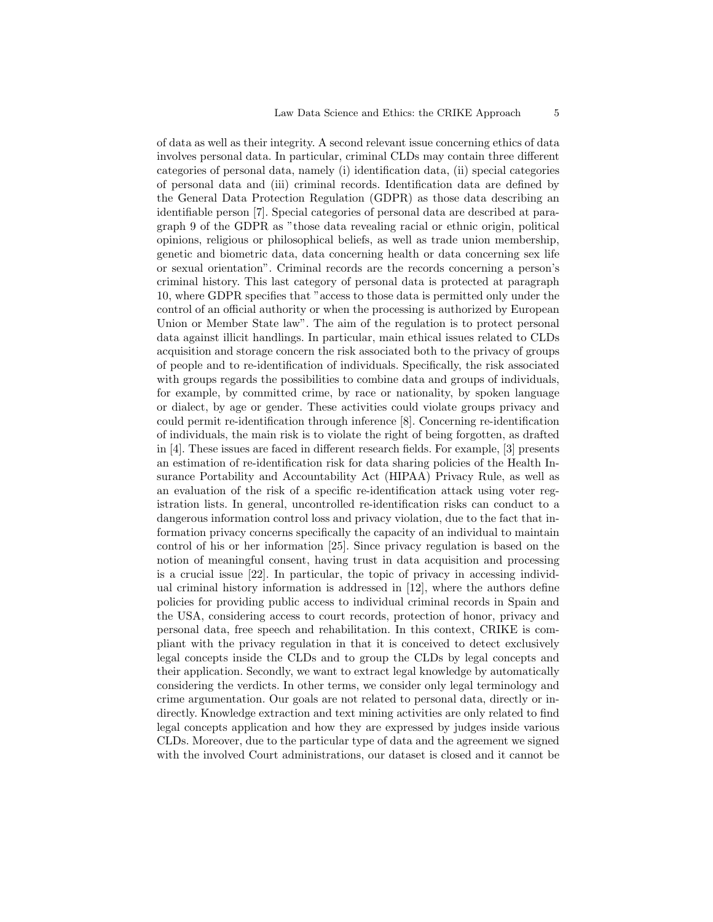of data as well as their integrity. A second relevant issue concerning ethics of data involves personal data. In particular, criminal CLDs may contain three different categories of personal data, namely (i) identification data, (ii) special categories of personal data and (iii) criminal records. Identification data are defined by the General Data Protection Regulation (GDPR) as those data describing an identifiable person [7]. Special categories of personal data are described at paragraph 9 of the GDPR as "those data revealing racial or ethnic origin, political opinions, religious or philosophical beliefs, as well as trade union membership, genetic and biometric data, data concerning health or data concerning sex life or sexual orientation". Criminal records are the records concerning a person's criminal history. This last category of personal data is protected at paragraph 10, where GDPR specifies that "access to those data is permitted only under the control of an official authority or when the processing is authorized by European Union or Member State law". The aim of the regulation is to protect personal data against illicit handlings. In particular, main ethical issues related to CLDs acquisition and storage concern the risk associated both to the privacy of groups of people and to re-identification of individuals. Specifically, the risk associated with groups regards the possibilities to combine data and groups of individuals, for example, by committed crime, by race or nationality, by spoken language or dialect, by age or gender. These activities could violate groups privacy and could permit re-identification through inference [8]. Concerning re-identification of individuals, the main risk is to violate the right of being forgotten, as drafted in [4]. These issues are faced in different research fields. For example, [3] presents an estimation of re-identification risk for data sharing policies of the Health Insurance Portability and Accountability Act (HIPAA) Privacy Rule, as well as an evaluation of the risk of a specific re-identification attack using voter registration lists. In general, uncontrolled re-identification risks can conduct to a dangerous information control loss and privacy violation, due to the fact that information privacy concerns specifically the capacity of an individual to maintain control of his or her information [25]. Since privacy regulation is based on the notion of meaningful consent, having trust in data acquisition and processing is a crucial issue [22]. In particular, the topic of privacy in accessing individual criminal history information is addressed in [12], where the authors define policies for providing public access to individual criminal records in Spain and the USA, considering access to court records, protection of honor, privacy and personal data, free speech and rehabilitation. In this context, CRIKE is compliant with the privacy regulation in that it is conceived to detect exclusively legal concepts inside the CLDs and to group the CLDs by legal concepts and their application. Secondly, we want to extract legal knowledge by automatically considering the verdicts. In other terms, we consider only legal terminology and crime argumentation. Our goals are not related to personal data, directly or indirectly. Knowledge extraction and text mining activities are only related to find legal concepts application and how they are expressed by judges inside various CLDs. Moreover, due to the particular type of data and the agreement we signed with the involved Court administrations, our dataset is closed and it cannot be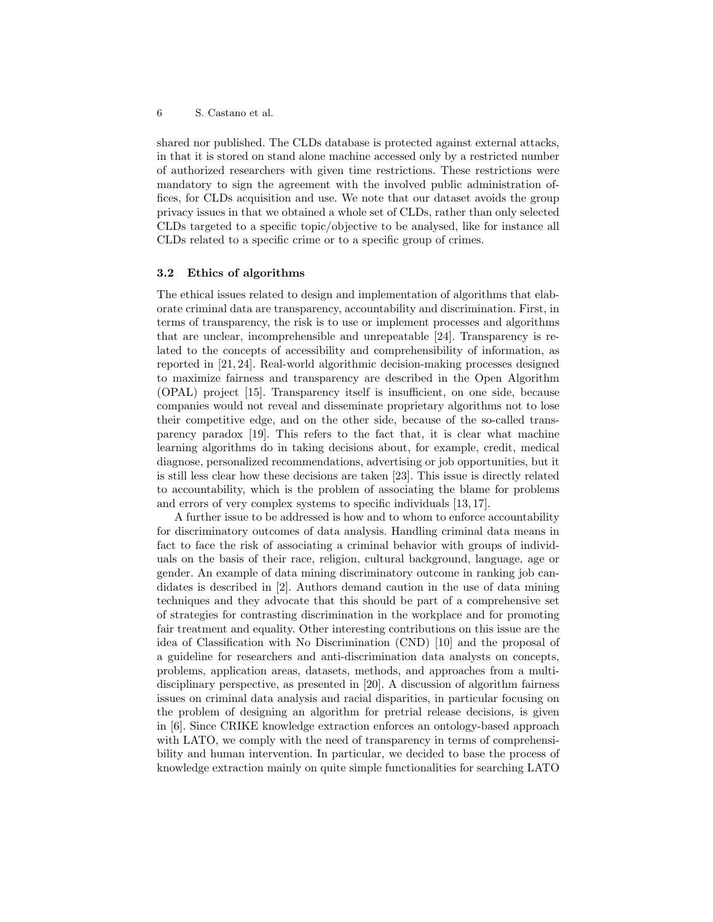shared nor published. The CLDs database is protected against external attacks, in that it is stored on stand alone machine accessed only by a restricted number of authorized researchers with given time restrictions. These restrictions were mandatory to sign the agreement with the involved public administration offices, for CLDs acquisition and use. We note that our dataset avoids the group privacy issues in that we obtained a whole set of CLDs, rather than only selected CLDs targeted to a specific topic/objective to be analysed, like for instance all CLDs related to a specific crime or to a specific group of crimes.

#### 3.2 Ethics of algorithms

The ethical issues related to design and implementation of algorithms that elaborate criminal data are transparency, accountability and discrimination. First, in terms of transparency, the risk is to use or implement processes and algorithms that are unclear, incomprehensible and unrepeatable [24]. Transparency is related to the concepts of accessibility and comprehensibility of information, as reported in [21, 24]. Real-world algorithmic decision-making processes designed to maximize fairness and transparency are described in the Open Algorithm (OPAL) project [15]. Transparency itself is insufficient, on one side, because companies would not reveal and disseminate proprietary algorithms not to lose their competitive edge, and on the other side, because of the so-called transparency paradox [19]. This refers to the fact that, it is clear what machine learning algorithms do in taking decisions about, for example, credit, medical diagnose, personalized recommendations, advertising or job opportunities, but it is still less clear how these decisions are taken [23]. This issue is directly related to accountability, which is the problem of associating the blame for problems and errors of very complex systems to specific individuals [13, 17].

A further issue to be addressed is how and to whom to enforce accountability for discriminatory outcomes of data analysis. Handling criminal data means in fact to face the risk of associating a criminal behavior with groups of individuals on the basis of their race, religion, cultural background, language, age or gender. An example of data mining discriminatory outcome in ranking job candidates is described in [2]. Authors demand caution in the use of data mining techniques and they advocate that this should be part of a comprehensive set of strategies for contrasting discrimination in the workplace and for promoting fair treatment and equality. Other interesting contributions on this issue are the idea of Classification with No Discrimination (CND) [10] and the proposal of a guideline for researchers and anti-discrimination data analysts on concepts, problems, application areas, datasets, methods, and approaches from a multidisciplinary perspective, as presented in [20]. A discussion of algorithm fairness issues on criminal data analysis and racial disparities, in particular focusing on the problem of designing an algorithm for pretrial release decisions, is given in [6]. Since CRIKE knowledge extraction enforces an ontology-based approach with LATO, we comply with the need of transparency in terms of comprehensibility and human intervention. In particular, we decided to base the process of knowledge extraction mainly on quite simple functionalities for searching LATO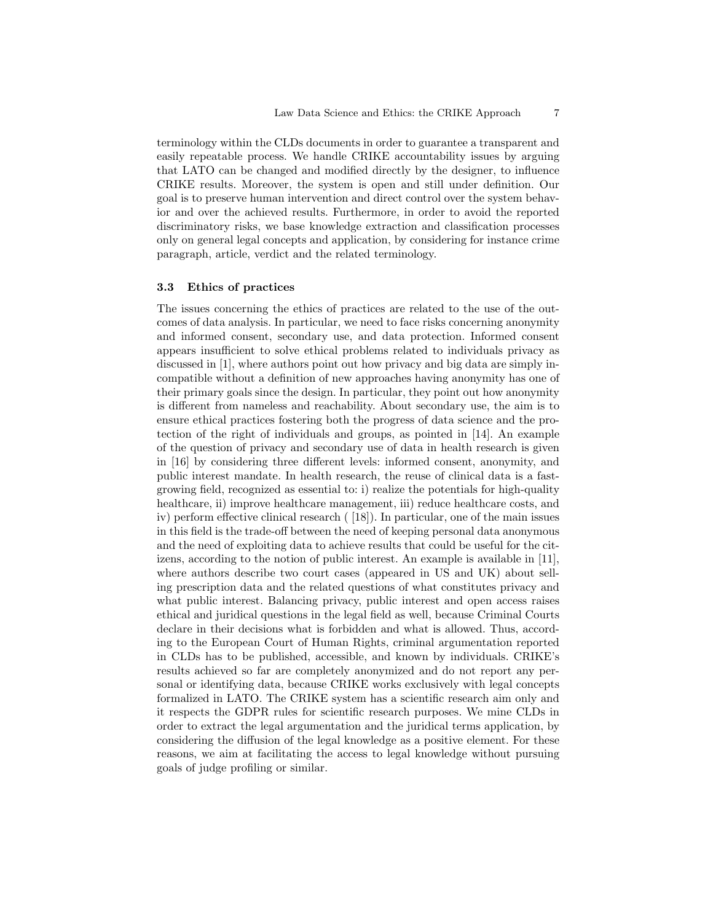terminology within the CLDs documents in order to guarantee a transparent and easily repeatable process. We handle CRIKE accountability issues by arguing that LATO can be changed and modified directly by the designer, to influence CRIKE results. Moreover, the system is open and still under definition. Our goal is to preserve human intervention and direct control over the system behavior and over the achieved results. Furthermore, in order to avoid the reported discriminatory risks, we base knowledge extraction and classification processes only on general legal concepts and application, by considering for instance crime paragraph, article, verdict and the related terminology.

## 3.3 Ethics of practices

The issues concerning the ethics of practices are related to the use of the outcomes of data analysis. In particular, we need to face risks concerning anonymity and informed consent, secondary use, and data protection. Informed consent appears insufficient to solve ethical problems related to individuals privacy as discussed in [1], where authors point out how privacy and big data are simply incompatible without a definition of new approaches having anonymity has one of their primary goals since the design. In particular, they point out how anonymity is different from nameless and reachability. About secondary use, the aim is to ensure ethical practices fostering both the progress of data science and the protection of the right of individuals and groups, as pointed in [14]. An example of the question of privacy and secondary use of data in health research is given in [16] by considering three different levels: informed consent, anonymity, and public interest mandate. In health research, the reuse of clinical data is a fastgrowing field, recognized as essential to: i) realize the potentials for high-quality healthcare, ii) improve healthcare management, iii) reduce healthcare costs, and iv) perform effective clinical research ( [18]). In particular, one of the main issues in this field is the trade-off between the need of keeping personal data anonymous and the need of exploiting data to achieve results that could be useful for the citizens, according to the notion of public interest. An example is available in [11], where authors describe two court cases (appeared in US and UK) about selling prescription data and the related questions of what constitutes privacy and what public interest. Balancing privacy, public interest and open access raises ethical and juridical questions in the legal field as well, because Criminal Courts declare in their decisions what is forbidden and what is allowed. Thus, according to the European Court of Human Rights, criminal argumentation reported in CLDs has to be published, accessible, and known by individuals. CRIKE's results achieved so far are completely anonymized and do not report any personal or identifying data, because CRIKE works exclusively with legal concepts formalized in LATO. The CRIKE system has a scientific research aim only and it respects the GDPR rules for scientific research purposes. We mine CLDs in order to extract the legal argumentation and the juridical terms application, by considering the diffusion of the legal knowledge as a positive element. For these reasons, we aim at facilitating the access to legal knowledge without pursuing goals of judge profiling or similar.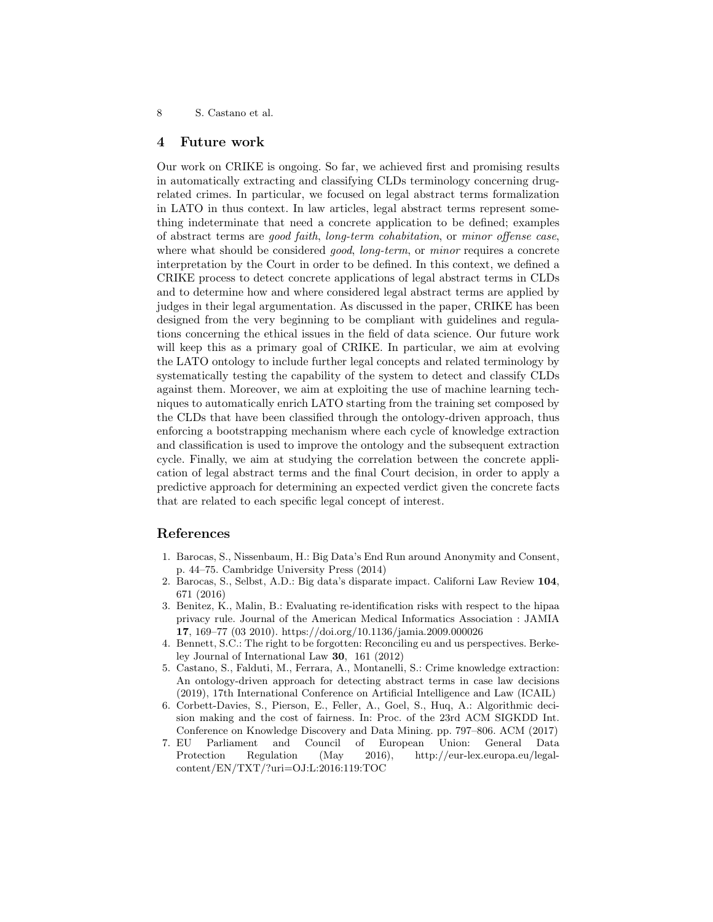### 4 Future work

Our work on CRIKE is ongoing. So far, we achieved first and promising results in automatically extracting and classifying CLDs terminology concerning drugrelated crimes. In particular, we focused on legal abstract terms formalization in LATO in thus context. In law articles, legal abstract terms represent something indeterminate that need a concrete application to be defined; examples of abstract terms are good faith, long-term cohabitation, or minor offense case, where what should be considered *good*, *long-term*, or *minor* requires a concrete interpretation by the Court in order to be defined. In this context, we defined a CRIKE process to detect concrete applications of legal abstract terms in CLDs and to determine how and where considered legal abstract terms are applied by judges in their legal argumentation. As discussed in the paper, CRIKE has been designed from the very beginning to be compliant with guidelines and regulations concerning the ethical issues in the field of data science. Our future work will keep this as a primary goal of CRIKE. In particular, we aim at evolving the LATO ontology to include further legal concepts and related terminology by systematically testing the capability of the system to detect and classify CLDs against them. Moreover, we aim at exploiting the use of machine learning techniques to automatically enrich LATO starting from the training set composed by the CLDs that have been classified through the ontology-driven approach, thus enforcing a bootstrapping mechanism where each cycle of knowledge extraction and classification is used to improve the ontology and the subsequent extraction cycle. Finally, we aim at studying the correlation between the concrete application of legal abstract terms and the final Court decision, in order to apply a predictive approach for determining an expected verdict given the concrete facts that are related to each specific legal concept of interest.

## References

- 1. Barocas, S., Nissenbaum, H.: Big Data's End Run around Anonymity and Consent, p. 44–75. Cambridge University Press (2014)
- 2. Barocas, S., Selbst, A.D.: Big data's disparate impact. Californi Law Review 104, 671 (2016)
- 3. Benitez, K., Malin, B.: Evaluating re-identification risks with respect to the hipaa privacy rule. Journal of the American Medical Informatics Association : JAMIA 17, 169–77 (03 2010). https://doi.org/10.1136/jamia.2009.000026
- 4. Bennett, S.C.: The right to be forgotten: Reconciling eu and us perspectives. Berkeley Journal of International Law 30, 161 (2012)
- 5. Castano, S., Falduti, M., Ferrara, A., Montanelli, S.: Crime knowledge extraction: An ontology-driven approach for detecting abstract terms in case law decisions (2019), 17th International Conference on Artificial Intelligence and Law (ICAIL)
- 6. Corbett-Davies, S., Pierson, E., Feller, A., Goel, S., Huq, A.: Algorithmic decision making and the cost of fairness. In: Proc. of the 23rd ACM SIGKDD Int. Conference on Knowledge Discovery and Data Mining. pp. 797–806. ACM (2017)
- 7. EU Parliament and Council of European Union: General Data Protection Regulation (May 2016), http://eur-lex.europa.eu/legalcontent/EN/TXT/?uri=OJ:L:2016:119:TOC